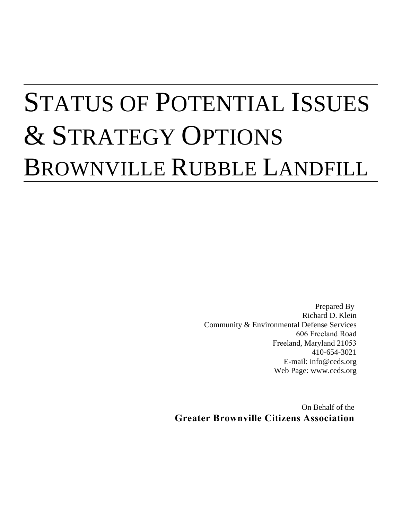# STATUS OF POTENTIAL ISSUES & STRATEGY OPTIONS BROWNVILLE RUBBLE LANDFILL

Prepared By Richard D. Klein Community & Environmental Defense Services 606 Freeland Road Freeland, Maryland 21053 410-654-3021 E-mail: info@ceds.org Web Page: www.ceds.org

On Behalf of the **Greater Brownville Citizens Association**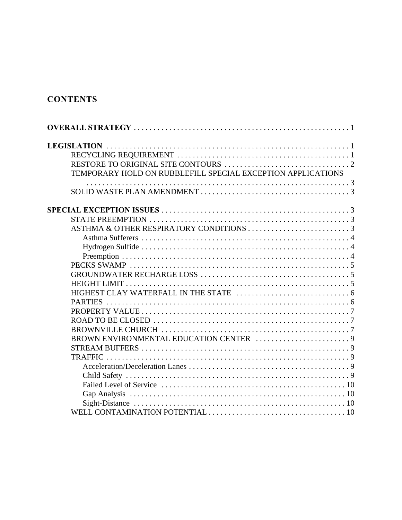# **CONTENTS**

| TEMPORARY HOLD ON RUBBLEFILL SPECIAL EXCEPTION APPLICATIONS |
|-------------------------------------------------------------|
|                                                             |
|                                                             |
|                                                             |
|                                                             |
|                                                             |
|                                                             |
|                                                             |
|                                                             |
|                                                             |
|                                                             |
|                                                             |
|                                                             |
|                                                             |
|                                                             |
|                                                             |
|                                                             |
|                                                             |
|                                                             |
|                                                             |
|                                                             |
|                                                             |
|                                                             |
|                                                             |
|                                                             |
|                                                             |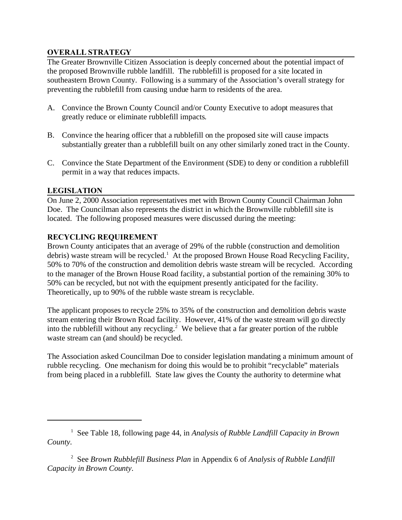# **OVERALL STRATEGY**

The Greater Brownville Citizen Association is deeply concerned about the potential impact of the proposed Brownville rubble landfill. The rubblefill is proposed for a site located in southeastern Brown County. Following is a summary of the Association's overall strategy for preventing the rubblefill from causing undue harm to residents of the area.

- A. Convince the Brown County Council and/or County Executive to adopt measures that greatly reduce or eliminate rubblefill impacts.
- B. Convince the hearing officer that a rubblefill on the proposed site will cause impacts substantially greater than a rubblefill built on any other similarly zoned tract in the County.
- C. Convince the State Department of the Environment (SDE) to deny or condition a rubblefill permit in a way that reduces impacts.

# **LEGISLATION**

On June 2, 2000 Association representatives met with Brown County Council Chairman John Doe. The Councilman also represents the district in which the Brownville rubblefill site is located. The following proposed measures were discussed during the meeting:

# **RECYCLING REQUIREMENT**

Brown County anticipates that an average of 29% of the rubble (construction and demolition debris) waste stream will be recycled.<sup>1</sup> At the proposed Brown House Road Recycling Facility, 50% to 70% of the construction and demolition debris waste stream will be recycled. According to the manager of the Brown House Road facility, a substantial portion of the remaining 30% to 50% can be recycled, but not with the equipment presently anticipated for the facility. Theoretically, up to 90% of the rubble waste stream is recyclable.

The applicant proposes to recycle 25% to 35% of the construction and demolition debris waste stream entering their Brown Road facility. However, 41% of the waste stream will go directly into the rubblefill without any recycling.<sup>2</sup> We believe that a far greater portion of the rubble waste stream can (and should) be recycled.

The Association asked Councilman Doe to consider legislation mandating a minimum amount of rubble recycling. One mechanism for doing this would be to prohibit "recyclable" materials from being placed in a rubblefill. State law gives the County the authority to determine what

2 See *Brown Rubblefill Business Plan* in Appendix 6 of *Analysis of Rubble Landfill Capacity in Brown County*.

<sup>&</sup>lt;sup>1</sup> See Table 18, following page 44, in *Analysis of Rubble Landfill Capacity in Brown County*.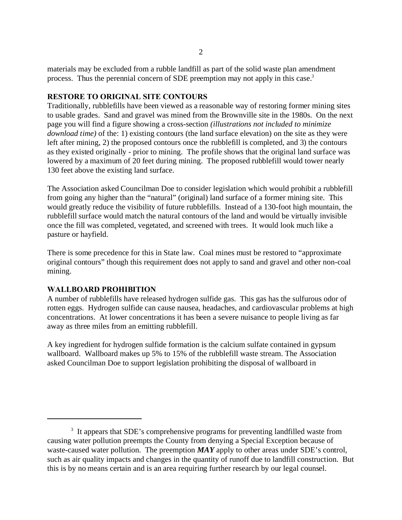materials may be excluded from a rubble landfill as part of the solid waste plan amendment process. Thus the perennial concern of SDE preemption may not apply in this case.<sup>3</sup>

#### **RESTORE TO ORIGINAL SITE CONTOURS**

Traditionally, rubblefills have been viewed as a reasonable way of restoring former mining sites to usable grades. Sand and gravel was mined from the Brownville site in the 1980s. On the next page you will find a figure showing a cross-section *(illustrations not included to minimize download time)* of the: 1) existing contours (the land surface elevation) on the site as they were left after mining, 2) the proposed contours once the rubblefill is completed, and 3) the contours as they existed originally - prior to mining. The profile shows that the original land surface was lowered by a maximum of 20 feet during mining. The proposed rubblefill would tower nearly 130 feet above the existing land surface.

The Association asked Councilman Doe to consider legislation which would prohibit a rubblefill from going any higher than the "natural" (original) land surface of a former mining site. This would greatly reduce the visibility of future rubblefills. Instead of a 130-foot high mountain, the rubblefill surface would match the natural contours of the land and would be virtually invisible once the fill was completed, vegetated, and screened with trees. It would look much like a pasture or hayfield.

There is some precedence for this in State law. Coal mines must be restored to "approximate original contours" though this requirement does not apply to sand and gravel and other non-coal mining.

#### **WALLBOARD PROHIBITION**

A number of rubblefills have released hydrogen sulfide gas. This gas has the sulfurous odor of rotten eggs. Hydrogen sulfide can cause nausea, headaches, and cardiovascular problems at high concentrations. At lower concentrations it has been a severe nuisance to people living as far away as three miles from an emitting rubblefill.

A key ingredient for hydrogen sulfide formation is the calcium sulfate contained in gypsum wallboard. Wallboard makes up 5% to 15% of the rubblefill waste stream. The Association asked Councilman Doe to support legislation prohibiting the disposal of wallboard in

<sup>&</sup>lt;sup>3</sup> It appears that SDE's comprehensive programs for preventing landfilled waste from causing water pollution preempts the County from denying a Special Exception because of waste-caused water pollution. The preemption *MAY* apply to other areas under SDE's control, such as air quality impacts and changes in the quantity of runoff due to landfill construction. But this is by no means certain and is an area requiring further research by our legal counsel.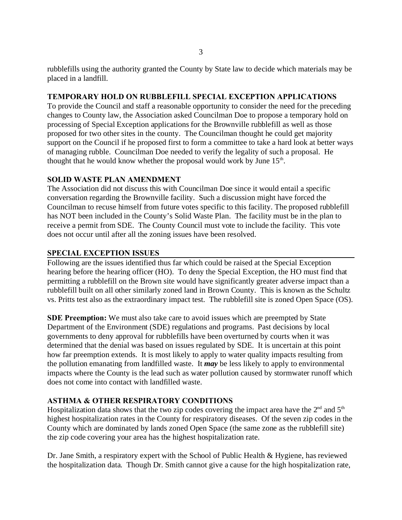rubblefills using the authority granted the County by State law to decide which materials may be placed in a landfill.

#### **TEMPORARY HOLD ON RUBBLEFILL SPECIAL EXCEPTION APPLICATIONS**

To provide the Council and staff a reasonable opportunity to consider the need for the preceding changes to County law, the Association asked Councilman Doe to propose a temporary hold on processing of Special Exception applications for the Brownville rubblefill as well as those proposed for two other sites in the county. The Councilman thought he could get majority support on the Council if he proposed first to form a committee to take a hard look at better ways of managing rubble. Councilman Doe needed to verify the legality of such a proposal. He thought that he would know whether the proposal would work by June 15<sup>th</sup>.

#### **SOLID WASTE PLAN AMENDMENT**

The Association did not discuss this with Councilman Doe since it would entail a specific conversation regarding the Brownville facility. Such a discussion might have forced the Councilman to recuse himself from future votes specific to this facility. The proposed rubblefill has NOT been included in the County's Solid Waste Plan. The facility must be in the plan to receive a permit from SDE. The County Council must vote to include the facility. This vote does not occur until after all the zoning issues have been resolved.

#### **SPECIAL EXCEPTION ISSUES**

Following are the issues identified thus far which could be raised at the Special Exception hearing before the hearing officer (HO). To deny the Special Exception, the HO must find that permitting a rubblefill on the Brown site would have significantly greater adverse impact than a rubblefill built on all other similarly zoned land in Brown County. This is known as the Schultz vs. Pritts test also as the extraordinary impact test. The rubblefill site is zoned Open Space (OS).

**SDE Preemption:** We must also take care to avoid issues which are preempted by State Department of the Environment (SDE) regulations and programs. Past decisions by local governments to deny approval for rubblefills have been overturned by courts when it was determined that the denial was based on issues regulated by SDE. It is uncertain at this point how far preemption extends. It is most likely to apply to water quality impacts resulting from the pollution emanating from landfilled waste. It *may* be less likely to apply to environmental impacts where the County is the lead such as water pollution caused by stormwater runoff which does not come into contact with landfilled waste.

# **ASTHMA & OTHER RESPIRATORY CONDITIONS**

Hospitalization data shows that the two zip codes covering the impact area have the  $2<sup>nd</sup>$  and  $5<sup>th</sup>$ highest hospitalization rates in the County for respiratory diseases. Of the seven zip codes in the County which are dominated by lands zoned Open Space (the same zone as the rubblefill site) the zip code covering your area has the highest hospitalization rate.

Dr. Jane Smith, a respiratory expert with the School of Public Health & Hygiene, has reviewed the hospitalization data. Though Dr. Smith cannot give a cause for the high hospitalization rate,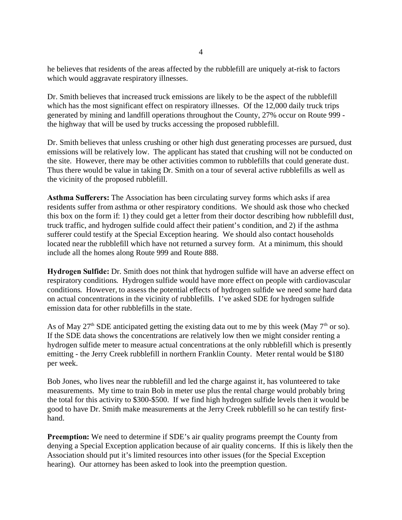he believes that residents of the areas affected by the rubblefill are uniquely at-risk to factors which would aggravate respiratory illnesses.

Dr. Smith believes that increased truck emissions are likely to be the aspect of the rubblefill which has the most significant effect on respiratory illnesses. Of the 12,000 daily truck trips generated by mining and landfill operations throughout the County, 27% occur on Route 999 the highway that will be used by trucks accessing the proposed rubblefill.

Dr. Smith believes that unless crushing or other high dust generating processes are pursued, dust emissions will be relatively low. The applicant has stated that crushing will not be conducted on the site. However, there may be other activities common to rubblefills that could generate dust. Thus there would be value in taking Dr. Smith on a tour of several active rubblefills as well as the vicinity of the proposed rubblefill.

**Asthma Sufferers:** The Association has been circulating survey forms which asks if area residents suffer from asthma or other respiratory conditions. We should ask those who checked this box on the form if: 1) they could get a letter from their doctor describing how rubblefill dust, truck traffic, and hydrogen sulfide could affect their patient's condition, and 2) if the asthma sufferer could testify at the Special Exception hearing. We should also contact households located near the rubblefill which have not returned a survey form. At a minimum, this should include all the homes along Route 999 and Route 888.

**Hydrogen Sulfide:** Dr. Smith does not think that hydrogen sulfide will have an adverse effect on respiratory conditions. Hydrogen sulfide would have more effect on people with cardiovascular conditions. However, to assess the potential effects of hydrogen sulfide we need some hard data on actual concentrations in the vicinity of rubblefills. I've asked SDE for hydrogen sulfide emission data for other rubblefills in the state.

As of May  $27<sup>th</sup>$  SDE anticipated getting the existing data out to me by this week (May  $7<sup>th</sup>$  or so). If the SDE data shows the concentrations are relatively low then we might consider renting a hydrogen sulfide meter to measure actual concentrations at the only rubblefill which is presently emitting - the Jerry Creek rubblefill in northern Franklin County. Meter rental would be \$180 per week.

Bob Jones, who lives near the rubblefill and led the charge against it, has volunteered to take measurements. My time to train Bob in meter use plus the rental charge would probably bring the total for this activity to \$300-\$500. If we find high hydrogen sulfide levels then it would be good to have Dr. Smith make measurements at the Jerry Creek rubblefill so he can testify firsthand.

**Preemption:** We need to determine if SDE's air quality programs preempt the County from denying a Special Exception application because of air quality concerns. If this is likely then the Association should put it's limited resources into other issues (for the Special Exception hearing). Our attorney has been asked to look into the preemption question.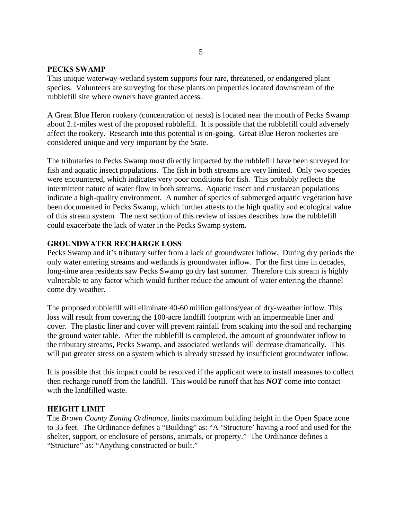#### **PECKS SWAMP**

This unique waterway-wetland system supports four rare, threatened, or endangered plant species. Volunteers are surveying for these plants on properties located downstream of the rubblefill site where owners have granted access.

A Great Blue Heron rookery (concentration of nests) is located near the mouth of Pecks Swamp about 2.1-miles west of the proposed rubblefill. It is possible that the rubblefill could adversely affect the rookery. Research into this potential is on-going. Great Blue Heron rookeries are considered unique and very important by the State.

The tributaries to Pecks Swamp most directly impacted by the rubblefill have been surveyed for fish and aquatic insect populations. The fish in both streams are very limited. Only two species were encountered, which indicates very poor conditions for fish. This probably reflects the intermittent nature of water flow in both streams. Aquatic insect and crustacean populations indicate a high-quality environment. A number of species of submerged aquatic vegetation have been documented in Pecks Swamp, which further attests to the high quality and ecological value of this stream system. The next section of this review of issues describes how the rubblefill could exacerbate the lack of water in the Pecks Swamp system.

#### **GROUNDWATER RECHARGE LOSS**

Pecks Swamp and it's tributary suffer from a lack of groundwater inflow. During dry periods the only water entering streams and wetlands is groundwater inflow. For the first time in decades, long-time area residents saw Pecks Swamp go dry last summer. Therefore this stream is highly vulnerable to any factor which would further reduce the amount of water entering the channel come dry weather.

The proposed rubblefill will eliminate 40-60 million gallons/year of dry-weather inflow. This loss will result from covering the 100-acre landfill footprint with an impermeable liner and cover. The plastic liner and cover will prevent rainfall from soaking into the soil and recharging the ground water table. After the rubblefill is completed, the amount of groundwater inflow to the tributary streams, Pecks Swamp, and associated wetlands will decrease dramatically. This will put greater stress on a system which is already stressed by insufficient groundwater inflow.

It is possible that this impact could be resolved if the applicant were to install measures to collect then recharge runoff from the landfill. This would be runoff that has *NOT* come into contact with the landfilled waste.

#### **HEIGHT LIMIT**

The *Brown County Zoning Ordinance*, limits maximum building height in the Open Space zone to 35 feet. The Ordinance defines a "Building" as: "A 'Structure' having a roof and used for the shelter, support, or enclosure of persons, animals, or property." The Ordinance defines a "Structure" as: "Anything constructed or built."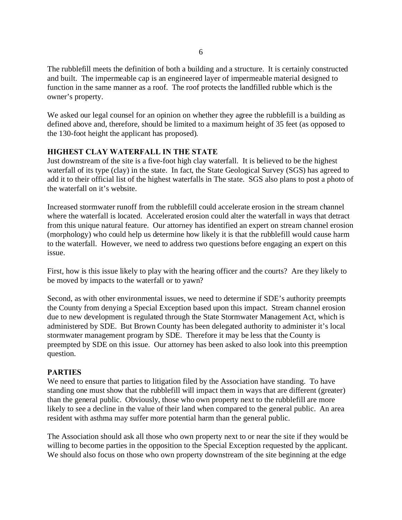The rubblefill meets the definition of both a building and a structure. It is certainly constructed and built. The impermeable cap is an engineered layer of impermeable material designed to function in the same manner as a roof. The roof protects the landfilled rubble which is the owner's property.

We asked our legal counsel for an opinion on whether they agree the rubblefill is a building as defined above and, therefore, should be limited to a maximum height of 35 feet (as opposed to the 130-foot height the applicant has proposed).

#### **HIGHEST CLAY WATERFALL IN THE STATE**

Just downstream of the site is a five-foot high clay waterfall. It is believed to be the highest waterfall of its type (clay) in the state. In fact, the State Geological Survey (SGS) has agreed to add it to their official list of the highest waterfalls in The state. SGS also plans to post a photo of the waterfall on it's website.

Increased stormwater runoff from the rubblefill could accelerate erosion in the stream channel where the waterfall is located. Accelerated erosion could alter the waterfall in ways that detract from this unique natural feature. Our attorney has identified an expert on stream channel erosion (morphology) who could help us determine how likely it is that the rubblefill would cause harm to the waterfall. However, we need to address two questions before engaging an expert on this issue.

First, how is this issue likely to play with the hearing officer and the courts? Are they likely to be moved by impacts to the waterfall or to yawn?

Second, as with other environmental issues, we need to determine if SDE's authority preempts the County from denying a Special Exception based upon this impact. Stream channel erosion due to new development is regulated through the State Stormwater Management Act, which is administered by SDE. But Brown County has been delegated authority to administer it's local stormwater management program by SDE. Therefore it may be less that the County is preempted by SDE on this issue. Our attorney has been asked to also look into this preemption question.

#### **PARTIES**

We need to ensure that parties to litigation filed by the Association have standing. To have standing one must show that the rubblefill will impact them in ways that are different (greater) than the general public. Obviously, those who own property next to the rubblefill are more likely to see a decline in the value of their land when compared to the general public. An area resident with asthma may suffer more potential harm than the general public.

The Association should ask all those who own property next to or near the site if they would be willing to become parties in the opposition to the Special Exception requested by the applicant. We should also focus on those who own property downstream of the site beginning at the edge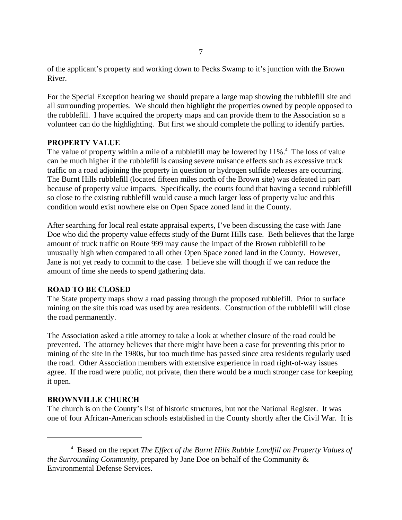of the applicant's property and working down to Pecks Swamp to it's junction with the Brown River.

For the Special Exception hearing we should prepare a large map showing the rubblefill site and all surrounding properties. We should then highlight the properties owned by people opposed to the rubblefill. I have acquired the property maps and can provide them to the Association so a volunteer can do the highlighting. But first we should complete the polling to identify parties.

#### **PROPERTY VALUE**

The value of property within a mile of a rubblefill may be lowered by  $11\%$ .<sup>4</sup> The loss of value can be much higher if the rubblefill is causing severe nuisance effects such as excessive truck traffic on a road adjoining the property in question or hydrogen sulfide releases are occurring. The Burnt Hills rubblefill (located fifteen miles north of the Brown site) was defeated in part because of property value impacts. Specifically, the courts found that having a second rubblefill so close to the existing rubblefill would cause a much larger loss of property value and this condition would exist nowhere else on Open Space zoned land in the County.

After searching for local real estate appraisal experts, I've been discussing the case with Jane Doe who did the property value effects study of the Burnt Hills case. Beth believes that the large amount of truck traffic on Route 999 may cause the impact of the Brown rubblefill to be unusually high when compared to all other Open Space zoned land in the County. However, Jane is not yet ready to commit to the case. I believe she will though if we can reduce the amount of time she needs to spend gathering data.

# **ROAD TO BE CLOSED**

The State property maps show a road passing through the proposed rubblefill. Prior to surface mining on the site this road was used by area residents. Construction of the rubblefill will close the road permanently.

The Association asked a title attorney to take a look at whether closure of the road could be prevented. The attorney believes that there might have been a case for preventing this prior to mining of the site in the 1980s, but too much time has passed since area residents regularly used the road. Other Association members with extensive experience in road right-of-way issues agree. If the road were public, not private, then there would be a much stronger case for keeping it open.

#### **BROWNVILLE CHURCH**

The church is on the County's list of historic structures, but not the National Register. It was one of four African-American schools established in the County shortly after the Civil War. It is

<sup>4</sup> Based on the report *The Effect of the Burnt Hills Rubble Landfill on Property Values of the Surrounding Community*, prepared by Jane Doe on behalf of the Community & Environmental Defense Services.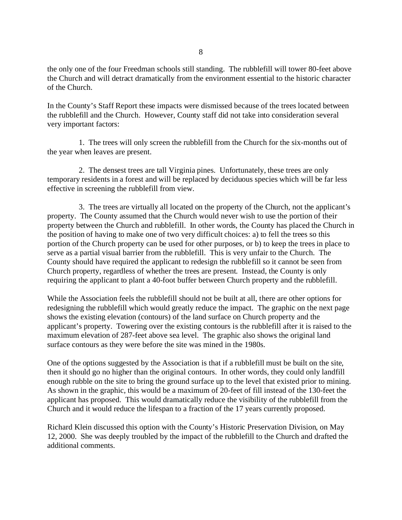the only one of the four Freedman schools still standing. The rubblefill will tower 80-feet above the Church and will detract dramatically from the environment essential to the historic character of the Church.

In the County's Staff Report these impacts were dismissed because of the trees located between the rubblefill and the Church. However, County staff did not take into consideration several very important factors:

1. The trees will only screen the rubblefill from the Church for the six-months out of the year when leaves are present.

2. The densest trees are tall Virginia pines. Unfortunately, these trees are only temporary residents in a forest and will be replaced by deciduous species which will be far less effective in screening the rubblefill from view.

3. The trees are virtually all located on the property of the Church, not the applicant's property. The County assumed that the Church would never wish to use the portion of their property between the Church and rubblefill. In other words, the County has placed the Church in the position of having to make one of two very difficult choices: a) to fell the trees so this portion of the Church property can be used for other purposes, or b) to keep the trees in place to serve as a partial visual barrier from the rubblefill. This is very unfair to the Church. The County should have required the applicant to redesign the rubblefill so it cannot be seen from Church property, regardless of whether the trees are present. Instead, the County is only requiring the applicant to plant a 40-foot buffer between Church property and the rubblefill.

While the Association feels the rubblefill should not be built at all, there are other options for redesigning the rubblefill which would greatly reduce the impact. The graphic on the next page shows the existing elevation (contours) of the land surface on Church property and the applicant's property. Towering over the existing contours is the rubblefill after it is raised to the maximum elevation of 287-feet above sea level. The graphic also shows the original land surface contours as they were before the site was mined in the 1980s.

One of the options suggested by the Association is that if a rubblefill must be built on the site, then it should go no higher than the original contours. In other words, they could only landfill enough rubble on the site to bring the ground surface up to the level that existed prior to mining. As shown in the graphic, this would be a maximum of 20-feet of fill instead of the 130-feet the applicant has proposed. This would dramatically reduce the visibility of the rubblefill from the Church and it would reduce the lifespan to a fraction of the 17 years currently proposed.

Richard Klein discussed this option with the County's Historic Preservation Division, on May 12, 2000. She was deeply troubled by the impact of the rubblefill to the Church and drafted the additional comments.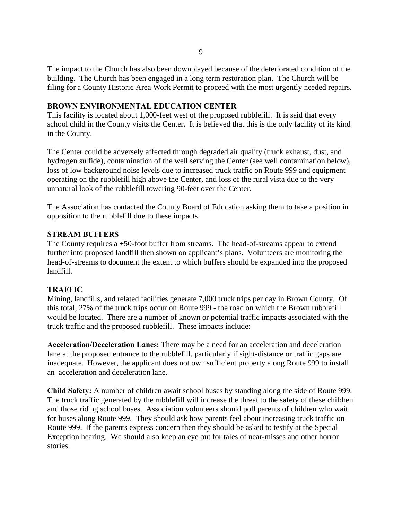The impact to the Church has also been downplayed because of the deteriorated condition of the building. The Church has been engaged in a long term restoration plan. The Church will be filing for a County Historic Area Work Permit to proceed with the most urgently needed repairs.

#### **BROWN ENVIRONMENTAL EDUCATION CENTER**

This facility is located about 1,000-feet west of the proposed rubblefill. It is said that every school child in the County visits the Center. It is believed that this is the only facility of its kind in the County.

The Center could be adversely affected through degraded air quality (truck exhaust, dust, and hydrogen sulfide), contamination of the well serving the Center (see well contamination below), loss of low background noise levels due to increased truck traffic on Route 999 and equipment operating on the rubblefill high above the Center, and loss of the rural vista due to the very unnatural look of the rubblefill towering 90-feet over the Center.

The Association has contacted the County Board of Education asking them to take a position in opposition to the rubblefill due to these impacts.

#### **STREAM BUFFERS**

The County requires a +50-foot buffer from streams. The head-of-streams appear to extend further into proposed landfill then shown on applicant's plans. Volunteers are monitoring the head-of-streams to document the extent to which buffers should be expanded into the proposed landfill.

#### **TRAFFIC**

Mining, landfills, and related facilities generate 7,000 truck trips per day in Brown County. Of this total, 27% of the truck trips occur on Route 999 - the road on which the Brown rubblefill would be located. There are a number of known or potential traffic impacts associated with the truck traffic and the proposed rubblefill. These impacts include:

**Acceleration/Deceleration Lanes:** There may be a need for an acceleration and deceleration lane at the proposed entrance to the rubblefill, particularly if sight-distance or traffic gaps are inadequate. However, the applicant does not own sufficient property along Route 999 to install an acceleration and deceleration lane.

**Child Safety:** A number of children await school buses by standing along the side of Route 999. The truck traffic generated by the rubblefill will increase the threat to the safety of these children and those riding school buses. Association volunteers should poll parents of children who wait for buses along Route 999. They should ask how parents feel about increasing truck traffic on Route 999. If the parents express concern then they should be asked to testify at the Special Exception hearing. We should also keep an eye out for tales of near-misses and other horror stories.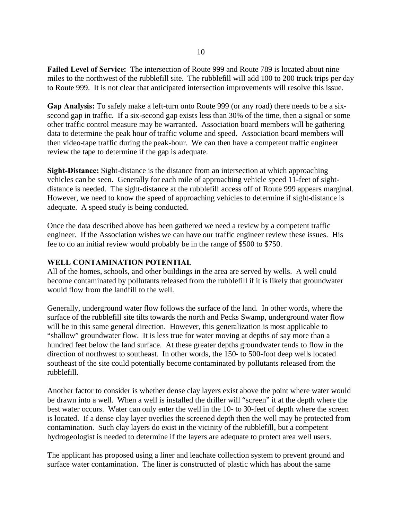**Failed Level of Service:** The intersection of Route 999 and Route 789 is located about nine miles to the northwest of the rubblefill site. The rubblefill will add 100 to 200 truck trips per day to Route 999. It is not clear that anticipated intersection improvements will resolve this issue.

**Gap Analysis:** To safely make a left-turn onto Route 999 (or any road) there needs to be a sixsecond gap in traffic. If a six-second gap exists less than 30% of the time, then a signal or some other traffic control measure may be warranted. Association board members will be gathering data to determine the peak hour of traffic volume and speed. Association board members will then video-tape traffic during the peak-hour. We can then have a competent traffic engineer review the tape to determine if the gap is adequate.

**Sight-Distance:** Sight-distance is the distance from an intersection at which approaching vehicles can be seen. Generally for each mile of approaching vehicle speed 11-feet of sightdistance is needed. The sight-distance at the rubblefill access off of Route 999 appears marginal. However, we need to know the speed of approaching vehicles to determine if sight-distance is adequate. A speed study is being conducted.

Once the data described above has been gathered we need a review by a competent traffic engineer. If the Association wishes we can have our traffic engineer review these issues. His fee to do an initial review would probably be in the range of \$500 to \$750.

#### **WELL CONTAMINATION POTENTIAL**

All of the homes, schools, and other buildings in the area are served by wells. A well could become contaminated by pollutants released from the rubblefill if it is likely that groundwater would flow from the landfill to the well.

Generally, underground water flow follows the surface of the land. In other words, where the surface of the rubblefill site tilts towards the north and Pecks Swamp, underground water flow will be in this same general direction. However, this generalization is most applicable to "shallow" groundwater flow. It is less true for water moving at depths of say more than a hundred feet below the land surface. At these greater depths groundwater tends to flow in the direction of northwest to southeast. In other words, the 150- to 500-foot deep wells located southeast of the site could potentially become contaminated by pollutants released from the rubblefill.

Another factor to consider is whether dense clay layers exist above the point where water would be drawn into a well. When a well is installed the driller will "screen" it at the depth where the best water occurs. Water can only enter the well in the 10- to 30-feet of depth where the screen is located. If a dense clay layer overlies the screened depth then the well may be protected from contamination. Such clay layers do exist in the vicinity of the rubblefill, but a competent hydrogeologist is needed to determine if the layers are adequate to protect area well users.

The applicant has proposed using a liner and leachate collection system to prevent ground and surface water contamination. The liner is constructed of plastic which has about the same